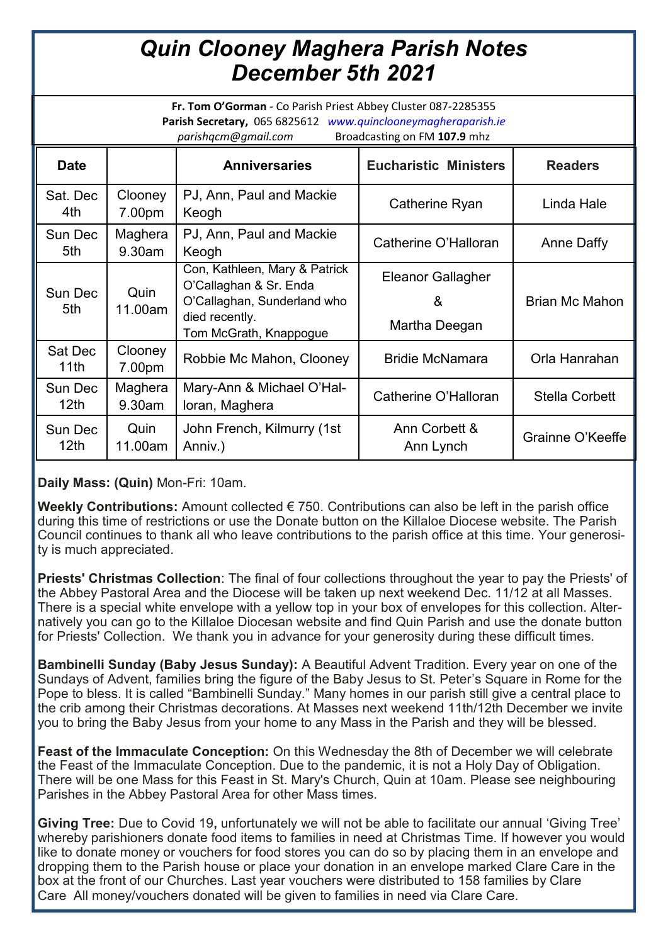## *Quin Clooney Maghera Parish Notes December 5th 2021*

**Fr. Tom O'Gorman** - Co Parish Priest Abbey Cluster 087-2285355 **Parish Secretary,** 065 6825612 *www.quinclooneymagheraparish.ie parishqcm@gmail.com* Broadcasting on FM **107.9** mhz

| ،،،ەە،،،، يو ت،،،،ەە،،، بەم<br><b>Production</b> on the <b>form</b> |                   |                                                                                                                                    |                                                |                       |
|---------------------------------------------------------------------|-------------------|------------------------------------------------------------------------------------------------------------------------------------|------------------------------------------------|-----------------------|
| <b>Date</b>                                                         |                   | <b>Anniversaries</b>                                                                                                               | <b>Eucharistic Ministers</b>                   | <b>Readers</b>        |
| Sat. Dec<br>4th                                                     | Clooney<br>7.00pm | PJ, Ann, Paul and Mackie<br>Keogh                                                                                                  | Catherine Ryan                                 | Linda Hale            |
| Sun Dec<br>5th                                                      | Maghera<br>9.30am | PJ, Ann, Paul and Mackie<br>Keogh                                                                                                  | Catherine O'Halloran                           | Anne Daffy            |
| Sun Dec<br>5th                                                      | Quin<br>11.00am   | Con, Kathleen, Mary & Patrick<br>O'Callaghan & Sr. Enda<br>O'Callaghan, Sunderland who<br>died recently.<br>Tom McGrath, Knappogue | <b>Eleanor Gallagher</b><br>&<br>Martha Deegan | <b>Brian Mc Mahon</b> |
| Sat Dec<br>11th                                                     | Clooney<br>7.00pm | Robbie Mc Mahon, Clooney                                                                                                           | <b>Bridie McNamara</b>                         | Orla Hanrahan         |
| Sun Dec<br>12 <sub>th</sub>                                         | Maghera<br>9.30am | Mary-Ann & Michael O'Hal-<br>loran, Maghera                                                                                        | Catherine O'Halloran                           | <b>Stella Corbett</b> |
| Sun Dec<br>12 <sub>th</sub>                                         | Quin<br>11.00am   | John French, Kilmurry (1st<br>Anniv.)                                                                                              | Ann Corbett &<br>Ann Lynch                     | Grainne O'Keeffe      |

**Daily Mass: (Quin)** Mon-Fri: 10am.

**Weekly Contributions:** Amount collected € 750. Contributions can also be left in the parish office during this time of restrictions or use the Donate button on the Killaloe Diocese website. The Parish Council continues to thank all who leave contributions to the parish office at this time. Your generosity is much appreciated.

**Priests' Christmas Collection**: The final of four collections throughout the year to pay the Priests' of the Abbey Pastoral Area and the Diocese will be taken up next weekend Dec. 11/12 at all Masses. There is a special white envelope with a yellow top in your box of envelopes for this collection. Alternatively you can go to the Killaloe Diocesan website and find Quin Parish and use the donate button for Priests' Collection. We thank you in advance for your generosity during these difficult times.

**Bambinelli Sunday (Baby Jesus Sunday):** A Beautiful Advent Tradition. Every year on one of the Sundays of Advent, families bring the figure of the Baby Jesus to St. Peter's Square in Rome for the Pope to bless. It is called "Bambinelli Sunday." Many homes in our parish still give a central place to the crib among their Christmas decorations. At Masses next weekend 11th/12th December we invite you to bring the Baby Jesus from your home to any Mass in the Parish and they will be blessed.

**Feast of the Immaculate Conception:** On this Wednesday the 8th of December we will celebrate the Feast of the Immaculate Conception. Due to the pandemic, it is not a Holy Day of Obligation. There will be one Mass for this Feast in St. Mary's Church, Quin at 10am. Please see neighbouring Parishes in the Abbey Pastoral Area for other Mass times.

**Giving Tree:** Due to Covid 19**,** unfortunately we will not be able to facilitate our annual 'Giving Tree' whereby parishioners donate food items to families in need at Christmas Time. If however you would like to donate money or vouchers for food stores you can do so by placing them in an envelope and dropping them to the Parish house or place your donation in an envelope marked Clare Care in the box at the front of our Churches. Last year vouchers were distributed to 158 families by Clare Care All money/vouchers donated will be given to families in need via Clare Care.